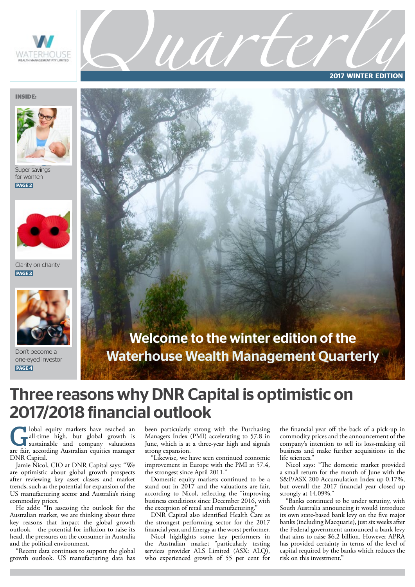

**2017 WINTER EDITION**

#### **INSIDE:**



Super savings for women **PAGE 2**



Clarity on charity **PAGE 3**



Don't become a one-eyed investor **PAGE 4**



UANTEC

### Three reasons why DNR Capital is optimistic on 2017/2018 financial outlook

Iobal equity markets have reached an all-time high, but global growth is sustainable and company valuations are fair, according Australian equities manager DNR Capital.

Jamie Nicol, CIO at DNR Capital says: "We are optimistic about global growth prospects after reviewing key asset classes and market trends, such as the potential for expansion of the US manufacturing sector and Australia's rising commodity prices.

He adds: "In assessing the outlook for the Australian market, we are thinking about three key reasons that impact the global growth outlook – the potential for inflation to raise its head, the pressures on the consumer in Australia and the political environment.

"Recent data continues to support the global growth outlook. US manufacturing data has been particularly strong with the Purchasing Managers Index (PMI) accelerating to 57.8 in June, which is at a three-year high and signals strong expansion.

"Likewise, we have seen continued economic improvement in Europe with the PMI at 57.4, the strongest since April 2011."

Domestic equity markets continued to be a stand out in 2017 and the valuations are fair, according to Nicol, reflecting the "improving business conditions since December 2016, with the exception of retail and manufacturing.

DNR Capital also identified Health Care as the strongest performing sector for the 2017 financial year, and Energy as the worst performer.

Nicol highlights some key performers in the Australian market "particularly testing services provider ALS Limited (ASX: ALQ), who experienced growth of 55 per cent for the financial year off the back of a pick-up in commodity prices and the announcement of the company's intention to sell its loss-making oil business and make further acquisitions in the life sciences."

Nicol says: "The domestic market provided a small return for the month of June with the S&P/ASX 200 Accumulation Index up 0.17%, but overall the 2017 financial year closed up strongly at 14.09%."

"Banks continued to be under scrutiny, with South Australia announcing it would introduce its own state-based bank levy on the five major banks (including Macquarie), just six weeks after the Federal government announced a bank levy that aims to raise \$6.2 billion. However APRA has provided certainty in terms of the level of capital required by the banks which reduces the risk on this investment."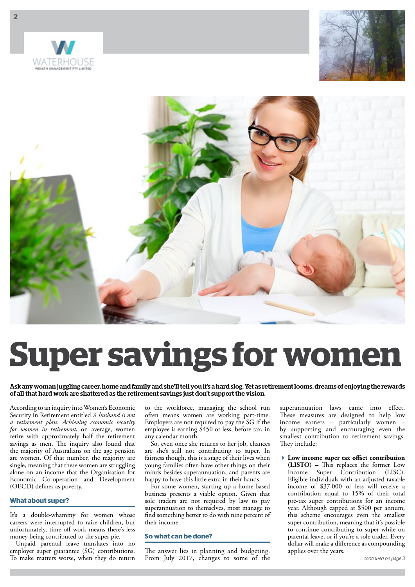





# **Super savings for women**

#### Ask any woman juggling career, home and family and she'll tell you it's a hard slog. Yet as retirement looms, dreams of enjoying the rewards of all that hard work are shattered as the retirement savings just don't support the vision.

According to an inquiry into Women's Economic Security in Retirement entitled *A husband is not a retirement plan: Achieving economic security for women in retirement*, on average, women retire with approximately half the retirement savings as men. The inquiry also found that the majority of Australians on the age pension are women. Of that number, the majority are single, meaning that these women are struggling alone on an income that the Organisation for Economic Co-operation and Development (OECD) defines as poverty.

#### **What about super?**

It's a double-whammy for women whose careers were interrupted to raise children, but unfortunately, time off work means there's less money being contributed to the super pie.

Unpaid parental leave translates into no employer super guarantee (SG) contributions. To make matters worse, when they do return

to the workforce, managing the school run often means women are working part-time. Employers are not required to pay the SG if the employee is earning \$450 or less, before tax, in any calendar month.

So, even once she returns to her job, chances are she's still not contributing to super. In fairness though, this is a stage of their lives when young families often have other things on their minds besides superannuation, and parents are happy to have this little extra in their hands.

For some women, starting up a home-based business presents a viable option. Given that sole traders are not required by law to pay superannuation to themselves, most manage to find something better to do with nine percent of their income.

#### **So what can be done?**

The answer lies in planning and budgeting. From July 2017, changes to some of the superannuation laws came into effect. These measures are designed to help low income earners – particularly women – by supporting and encouraging even the smallest contribution to retirement savings. They include:

**Low income super tax offset contribution (LISTO) –** This replaces the former Low Income Super Contribution (LISC). Eligible individuals with an adjusted taxable income of \$37,000 or less will receive a contribution equal to 15% of their total pre-tax super contributions for an income year. Although capped at \$500 per annum, this scheme encourages even the smallest super contribution, meaning that it's possible to continue contributing to super while on parental leave, or if you're a sole trader. Every dollar will make a difference as compounding applies over the years.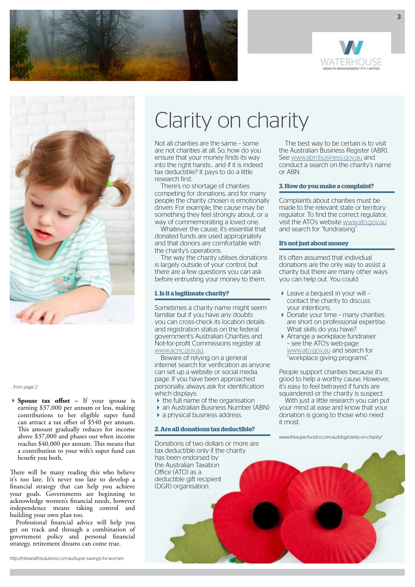





*… from page 2*

**Spouse tax offset –** If your spouse is earning \$37,000 per annum or less, making contributions to her eligible super fund can attract a tax offset of \$540 per annum. This amount gradually reduces for income above \$37,000 and phases out when income reaches \$40,000 per annum. This means that a contribution to your wife's super fund can benefit you both.

There will be many reading this who believe it's too late. It's never too late to develop a financial strategy that can help you achieve your goals. Governments are beginning to acknowledge women's financial needs, however independence means taking control and building your own plan too.

Professional financial advice will help you get on track and through a combination of government policy and personal financial strategy, retirement dreams can come true.

*http://mkwealthsolutions.com.au/super-savings-for-women*

### Clarity on charity

Not all charities are the same – some are not charities at all. So, how do you ensure that your money finds its way into the right hands... and if it is indeed tax deductible? It pays to do a little research first.

There's no shortage of charities competing for donations, and for many people the charity chosen is emotionally driven. For example, the cause may be something they feel strongly about, or a way of commemorating a loved one.

Whatever the cause, it's essential that donated funds are used appropriately and that donors are comfortable with the charity's operations.

The way the charity utilises donations is largely outside of your control, but there are a few questions you can ask before entrusting your money to them.

#### **1. Is it a legitimate charity?**

Sometimes a charity name might seem familiar but if you have any doubts you can cross-check its location details and registration status on the federal government's Australian Charities and Not-for-profit Commissions register at www.acnc.gov.au.

Beware of relying on a general internet search for verification as anyone can set up a website or social media page. If you have been approached personally, always ask for identification which displays:

- $\blacktriangleright$  the full name of the organisation
- an Australian Business Number (ABN)
- $\blacktriangleright$  a physical business address.

#### **2. Are all donations tax deductible?**

Donations of two dollars or more are tax deductible only if the charity has been endorsed by the Australian Taxation Office (ATO) as a deductible gift recipient (DGR) organisation.

The best way to be certain is to visit the Australian Business Register (ABR). See www.abn.business.gov.au and conduct a search on the charity's name or ABN.

#### **3. How do you make a complaint?**

Complaints about charities must be made to the relevant state or territory regulator. To find the correct regulator, visit the ATO's website www.ato.gov.au and search for "fundraising".

#### **It's not just about money**

It's often assumed that individual donations are the only way to assist a charity but there are many other ways you can help out. You could:

- Leave a bequest in your will contact the charity to discuss your intentions.
- Donate your time many charities are short on professional expertise. What skills do you have?
- Arrange a workplace fundraiser – see the ATO's web-page www.ato.gov.au and search for "workplace giving programs".

People support charities because it's good to help a worthy cause. However, it's easy to feel betrayed if funds are squandered or the charity is suspect.

With just a little research you can put your mind at ease and know that your donation is going to those who need it most.

*www.thesuperfundco.com.au/blog/clarity-on-charity/*